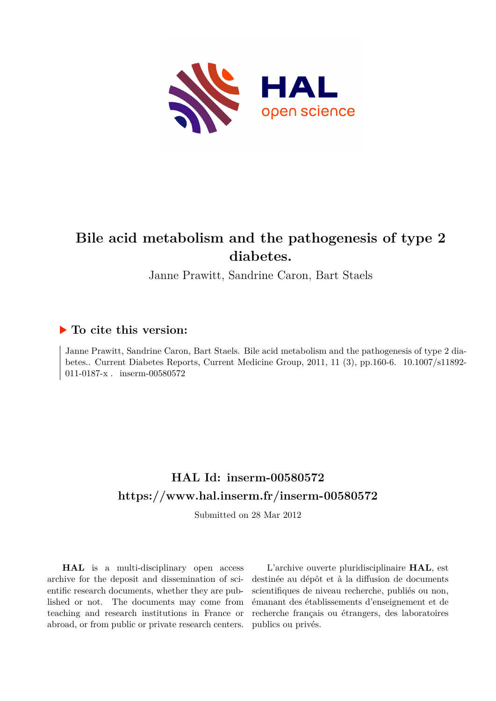

# **Bile acid metabolism and the pathogenesis of type 2 diabetes.**

Janne Prawitt, Sandrine Caron, Bart Staels

# **To cite this version:**

Janne Prawitt, Sandrine Caron, Bart Staels. Bile acid metabolism and the pathogenesis of type 2 diabetes.. Current Diabetes Reports, Current Medicine Group, 2011, 11 (3), pp.160-6. 10.1007/s11892-011-0187-x. inserm-00580572

# **HAL Id: inserm-00580572 <https://www.hal.inserm.fr/inserm-00580572>**

Submitted on 28 Mar 2012

**HAL** is a multi-disciplinary open access archive for the deposit and dissemination of scientific research documents, whether they are published or not. The documents may come from teaching and research institutions in France or abroad, or from public or private research centers.

L'archive ouverte pluridisciplinaire **HAL**, est destinée au dépôt et à la diffusion de documents scientifiques de niveau recherche, publiés ou non, émanant des établissements d'enseignement et de recherche français ou étrangers, des laboratoires publics ou privés.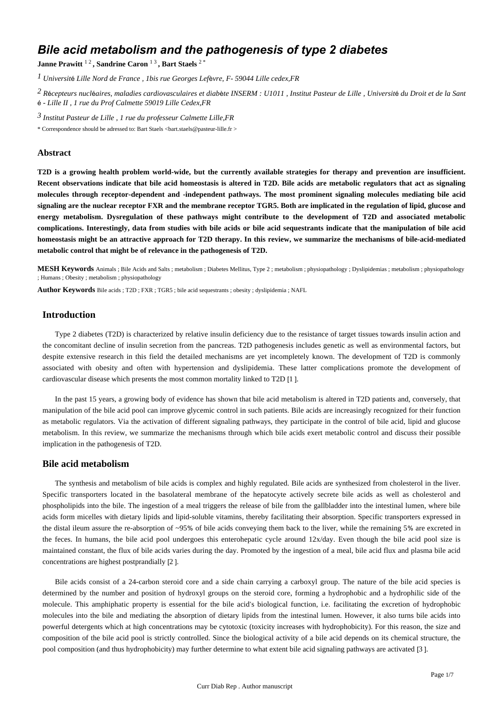# *Bile acid metabolism and the pathogenesis of type 2 diabetes*

**Janne Prawitt**  $^{12}$  **, Sandrine Caron**  $^{13}$  **, Bart Staels**  $^{2+}$ 

*1 Universit*é *Lille Nord de France , 1bis rue Georges Lef*è*vre, F- 59044 Lille cedex,FR*

*R cepteurs nucl aires, maladies cardiovasculaires et diab te 2* <sup>é</sup> <sup>é</sup> <sup>è</sup> *INSERM : U1011 , Institut Pasteur de Lille , Universit*é *du Droit et de la Sant* é *- Lille II , 1 rue du Prof Calmette 59019 Lille Cedex,FR*

*3 Institut Pasteur de Lille , 1 rue du professeur Calmette Lille,FR*

\* Correspondence should be adressed to: Bart Staels <bart.staels@pasteur-lille.fr >

#### **Abstract**

**T2D is a growing health problem world-wide, but the currently available strategies for therapy and prevention are insufficient. Recent observations indicate that bile acid homeostasis is altered in T2D. Bile acids are metabolic regulators that act as signaling molecules through receptor-dependent and -independent pathways. The most prominent signaling molecules mediating bile acid signaling are the nuclear receptor FXR and the membrane receptor TGR5. Both are implicated in the regulation of lipid, glucose and energy metabolism. Dysregulation of these pathways might contribute to the development of T2D and associated metabolic complications. Interestingly, data from studies with bile acids or bile acid sequestrants indicate that the manipulation of bile acid homeostasis might be an attractive approach for T2D therapy. In this review, we summarize the mechanisms of bile-acid-mediated metabolic control that might be of relevance in the pathogenesis of T2D.**

**MESH Keywords** Animals ; Bile Acids and Salts ; metabolism ; Diabetes Mellitus, Type 2 ; metabolism ; physiopathology ; Dyslipidemias ; metabolism ; physiopathology ; Humans ; Obesity ; metabolism ; physiopathology

**Author Keywords** Bile acids ; T2D ; FXR ; TGR5 ; bile acid sequestrants ; obesity ; dyslipidemia ; NAFL

# **Introduction**

Type 2 diabetes (T2D) is characterized by relative insulin deficiency due to the resistance of target tissues towards insulin action and the concomitant decline of insulin secretion from the pancreas. T2D pathogenesis includes genetic as well as environmental factors, but despite extensive research in this field the detailed mechanisms are yet incompletely known. The development of T2D is commonly associated with obesity and often with hypertension and dyslipidemia. These latter complications promote the development of cardiovascular disease which presents the most common mortality linked to T2D [1 ].

In the past 15 years, a growing body of evidence has shown that bile acid metabolism is altered in T2D patients and, conversely, that manipulation of the bile acid pool can improve glycemic control in such patients. Bile acids are increasingly recognized for their function as metabolic regulators. Via the activation of different signaling pathways, they participate in the control of bile acid, lipid and glucose metabolism. In this review, we summarize the mechanisms through which bile acids exert metabolic control and discuss their possible implication in the pathogenesis of T2D.

# **Bile acid metabolism**

The synthesis and metabolism of bile acids is complex and highly regulated. Bile acids are synthesized from cholesterol in the liver. Specific transporters located in the basolateral membrane of the hepatocyte actively secrete bile acids as well as cholesterol and phospholipids into the bile. The ingestion of a meal triggers the release of bile from the gallbladder into the intestinal lumen, where bile acids form micelles with dietary lipids and lipid-soluble vitamins, thereby facilitating their absorption. Specific transporters expressed in the distal ileum assure the re-absorption of ~95% of bile acids conveying them back to the liver, while the remaining 5% are excreted in the feces. In humans, the bile acid pool undergoes this enterohepatic cycle around 12x/day. Even though the bile acid pool size is maintained constant, the flux of bile acids varies during the day. Promoted by the ingestion of a meal, bile acid flux and plasma bile acid concentrations are highest postprandially [2 ].

Bile acids consist of a 24-carbon steroid core and a side chain carrying a carboxyl group. The nature of the bile acid species is determined by the number and position of hydroxyl groups on the steroid core, forming a hydrophobic and a hydrophilic side of the molecule. This amphiphatic property is essential for the bile acid's biological function, i.e. facilitating the excretion of hydrophobic molecules into the bile and mediating the absorption of dietary lipids from the intestinal lumen. However, it also turns bile acids into powerful detergents which at high concentrations may be cytotoxic (toxicity increases with hydrophobicity). For this reason, the size and composition of the bile acid pool is strictly controlled. Since the biological activity of a bile acid depends on its chemical structure, the pool composition (and thus hydrophobicity) may further determine to what extent bile acid signaling pathways are activated [3 ].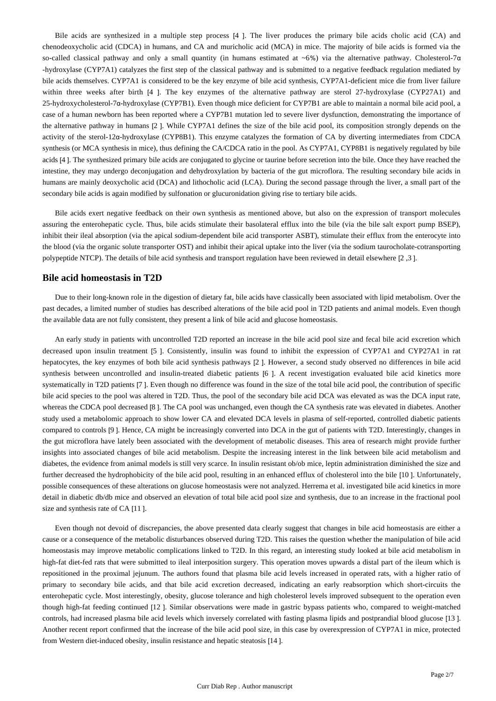Bile acids are synthesized in a multiple step process [4 ]. The liver produces the primary bile acids cholic acid (CA) and chenodeoxycholic acid (CDCA) in humans, and CA and muricholic acid (MCA) in mice. The majority of bile acids is formed via the so-called classical pathway and only a small quantity (in humans estimated at ~6%) via the alternative pathway. Cholesterol-7α -hydroxylase (CYP7A1) catalyzes the first step of the classical pathway and is submitted to a negative feedback regulation mediated by bile acids themselves. CYP7A1 is considered to be the key enzyme of bile acid synthesis, CYP7A1-deficient mice die from liver failure within three weeks after birth [4 ]. The key enzymes of the alternative pathway are sterol 27-hydroxylase (CYP27A1) and 25-hydroxycholesterol-7α-hydroxylase (CYP7B1). Even though mice deficient for CYP7B1 are able to maintain a normal bile acid pool, a case of a human newborn has been reported where a CYP7B1 mutation led to severe liver dysfunction, demonstrating the importance of the alternative pathway in humans [2 ]. While CYP7A1 defines the size of the bile acid pool, its composition strongly depends on the activity of the sterol-12α-hydroxylase (CYP8B1). This enzyme catalyzes the formation of CA by diverting intermediates from CDCA synthesis (or MCA synthesis in mice), thus defining the CA/CDCA ratio in the pool. As CYP7A1, CYP8B1 is negatively regulated by bile acids [4 ]. The synthesized primary bile acids are conjugated to glycine or taurine before secretion into the bile. Once they have reached the intestine, they may undergo deconjugation and dehydroxylation by bacteria of the gut microflora. The resulting secondary bile acids in humans are mainly deoxycholic acid (DCA) and lithocholic acid (LCA). During the second passage through the liver, a small part of the secondary bile acids is again modified by sulfonation or glucuronidation giving rise to tertiary bile acids.

Bile acids exert negative feedback on their own synthesis as mentioned above, but also on the expression of transport molecules assuring the enterohepatic cycle. Thus, bile acids stimulate their basolateral efflux into the bile (via the bile salt export pump BSEP), inhibit their ileal absorption (via the apical sodium-dependent bile acid transporter ASBT), stimulate their efflux from the enterocyte into the blood (via the organic solute transporter OST) and inhibit their apical uptake into the liver (via the sodium taurocholate-cotransporting polypeptide NTCP). The details of bile acid synthesis and transport regulation have been reviewed in detail elsewhere [2 ,3 ].

# **Bile acid homeostasis in T2D**

Due to their long-known role in the digestion of dietary fat, bile acids have classically been associated with lipid metabolism. Over the past decades, a limited number of studies has described alterations of the bile acid pool in T2D patients and animal models. Even though the available data are not fully consistent, they present a link of bile acid and glucose homeostasis.

An early study in patients with uncontrolled T2D reported an increase in the bile acid pool size and fecal bile acid excretion which decreased upon insulin treatment [5 ]. Consistently, insulin was found to inhibit the expression of CYP7A1 and CYP27A1 in rat hepatocytes, the key enzymes of both bile acid synthesis pathways [2 ]. However, a second study observed no differences in bile acid synthesis between uncontrolled and insulin-treated diabetic patients [6 ]. A recent investigation evaluated bile acid kinetics more systematically in T2D patients [7 ]. Even though no difference was found in the size of the total bile acid pool, the contribution of specific bile acid species to the pool was altered in T2D. Thus, the pool of the secondary bile acid DCA was elevated as was the DCA input rate, whereas the CDCA pool decreased [8 ]. The CA pool was unchanged, even though the CA synthesis rate was elevated in diabetes. Another study used a metabolomic approach to show lower CA and elevated DCA levels in plasma of self-reported, controlled diabetic patients compared to controls [9 ]. Hence, CA might be increasingly converted into DCA in the gut of patients with T2D. Interestingly, changes in the gut microflora have lately been associated with the development of metabolic diseases. This area of research might provide further insights into associated changes of bile acid metabolism. Despite the increasing interest in the link between bile acid metabolism and diabetes, the evidence from animal models is still very scarce. In insulin resistant ob/ob mice, leptin administration diminished the size and further decreased the hydrophobicity of the bile acid pool, resulting in an enhanced efflux of cholesterol into the bile [10 ]. Unfortunately, possible consequences of these alterations on glucose homeostasis were not analyzed. Herrema et al. investigated bile acid kinetics in more detail in diabetic db/db mice and observed an elevation of total bile acid pool size and synthesis, due to an increase in the fractional pool size and synthesis rate of CA [11 ].

Even though not devoid of discrepancies, the above presented data clearly suggest that changes in bile acid homeostasis are either a cause or a consequence of the metabolic disturbances observed during T2D. This raises the question whether the manipulation of bile acid homeostasis may improve metabolic complications linked to T2D. In this regard, an interesting study looked at bile acid metabolism in high-fat diet-fed rats that were submitted to ileal interposition surgery. This operation moves upwards a distal part of the ileum which is repositioned in the proximal jejunum. The authors found that plasma bile acid levels increased in operated rats, with a higher ratio of primary to secondary bile acids, and that bile acid excretion decreased, indicating an early reabsorption which short-circuits the enterohepatic cycle. Most interestingly, obesity, glucose tolerance and high cholesterol levels improved subsequent to the operation even though high-fat feeding continued [12 ]. Similar observations were made in gastric bypass patients who, compared to weight-matched controls, had increased plasma bile acid levels which inversely correlated with fasting plasma lipids and postprandial blood glucose [13 ]. Another recent report confirmed that the increase of the bile acid pool size, in this case by overexpression of CYP7A1 in mice, protected from Western diet-induced obesity, insulin resistance and hepatic steatosis [14 ].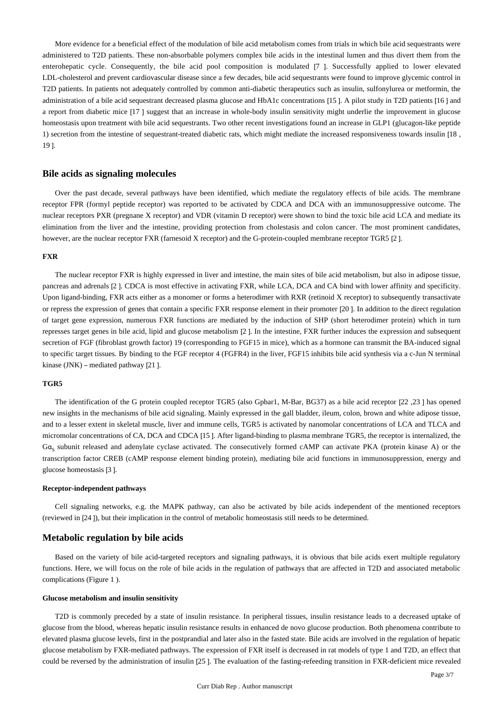More evidence for a beneficial effect of the modulation of bile acid metabolism comes from trials in which bile acid sequestrants were administered to T2D patients. These non-absorbable polymers complex bile acids in the intestinal lumen and thus divert them from the enterohepatic cycle. Consequently, the bile acid pool composition is modulated [7 ]. Successfully applied to lower elevated LDL-cholesterol and prevent cardiovascular disease since a few decades, bile acid sequestrants were found to improve glycemic control in T2D patients. In patients not adequately controlled by common anti-diabetic therapeutics such as insulin, sulfonylurea or metformin, the administration of a bile acid sequestrant decreased plasma glucose and HbA1c concentrations [15 ]. A pilot study in T2D patients [16 ] and a report from diabetic mice [17 ] suggest that an increase in whole-body insulin sensitivity might underlie the improvement in glucose homeostasis upon treatment with bile acid sequestrants. Two other recent investigations found an increase in GLP1 (glucagon-like peptide 1) secretion from the intestine of sequestrant-treated diabetic rats, which might mediate the increased responsiveness towards insulin [18 , 19 ].

## **Bile acids as signaling molecules**

Over the past decade, several pathways have been identified, which mediate the regulatory effects of bile acids. The membrane receptor FPR (formyl peptide receptor) was reported to be activated by CDCA and DCA with an immunosuppressive outcome. The nuclear receptors PXR (pregnane X receptor) and VDR (vitamin D receptor) were shown to bind the toxic bile acid LCA and mediate its elimination from the liver and the intestine, providing protection from cholestasis and colon cancer. The most prominent candidates, however, are the nuclear receptor FXR (farnesoid X receptor) and the G-protein-coupled membrane receptor TGR5 [2 ].

#### **FXR**

The nuclear receptor FXR is highly expressed in liver and intestine, the main sites of bile acid metabolism, but also in adipose tissue, pancreas and adrenals [2 ]. CDCA is most effective in activating FXR, while LCA, DCA and CA bind with lower affinity and specificity. Upon ligand-binding, FXR acts either as a monomer or forms a heterodimer with RXR (retinoid X receptor) to subsequently transactivate or repress the expression of genes that contain a specific FXR response element in their promoter [20 ]. In addition to the direct regulation of target gene expression, numerous FXR functions are mediated by the induction of SHP (short heterodimer protein) which in turn represses target genes in bile acid, lipid and glucose metabolism [2 ]. In the intestine, FXR further induces the expression and subsequent secretion of FGF (fibroblast growth factor) 19 (corresponding to FGF15 in mice), which as a hormone can transmit the BA-induced signal to specific target tissues. By binding to the FGF receptor 4 (FGFR4) in the liver, FGF15 inhibits bile acid synthesis via a c-Jun N terminal kinase (JNK) – mediated pathway [21 ].

#### **TGR5**

The identification of the G protein coupled receptor TGR5 (also Gpbar1, M-Bar, BG37) as a bile acid receptor [22 ,23 ] has opened new insights in the mechanisms of bile acid signaling. Mainly expressed in the gall bladder, ileum, colon, brown and white adipose tissue, and to a lesser extent in skeletal muscle, liver and immune cells, TGR5 is activated by nanomolar concentrations of LCA and TLCA and micromolar concentrations of CA, DCA and CDCA [15 ]. After ligand-binding to plasma membrane TGR5, the receptor is internalized, the  $Ga<sub>c</sub>$  subunit released and adenylate cyclase activated. The consecutively formed cAMP can activate PKA (protein kinase A) or the transcription factor CREB (cAMP response element binding protein), mediating bile acid functions in immunosuppression, energy and glucose homeostasis [3 ].

#### **Receptor-independent pathways**

Cell signaling networks, e.g. the MAPK pathway, can also be activated by bile acids independent of the mentioned receptors (reviewed in [24 ]), but their implication in the control of metabolic homeostasis still needs to be determined.

#### **Metabolic regulation by bile acids**

Based on the variety of bile acid-targeted receptors and signaling pathways, it is obvious that bile acids exert multiple regulatory functions. Here, we will focus on the role of bile acids in the regulation of pathways that are affected in T2D and associated metabolic complications (Figure 1 ).

#### **Glucose metabolism and insulin sensitivity**

T2D is commonly preceded by a state of insulin resistance. In peripheral tissues, insulin resistance leads to a decreased uptake of glucose from the blood, whereas hepatic insulin resistance results in enhanced de novo glucose production. Both phenomena contribute to elevated plasma glucose levels, first in the postprandial and later also in the fasted state. Bile acids are involved in the regulation of hepatic glucose metabolism by FXR-mediated pathways. The expression of FXR itself is decreased in rat models of type 1 and T2D, an effect that could be reversed by the administration of insulin [25 ]. The evaluation of the fasting-refeeding transition in FXR-deficient mice revealed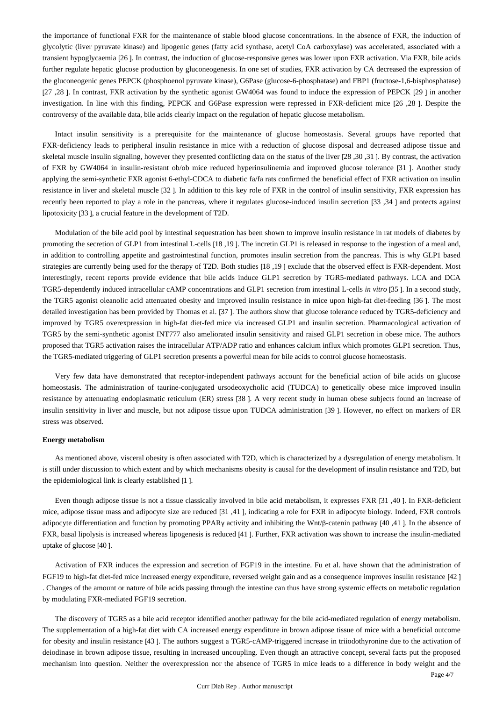the importance of functional FXR for the maintenance of stable blood glucose concentrations. In the absence of FXR, the induction of glycolytic (liver pyruvate kinase) and lipogenic genes (fatty acid synthase, acetyl CoA carboxylase) was accelerated, associated with a transient hypoglycaemia [26 ]. In contrast, the induction of glucose-responsive genes was lower upon FXR activation. Via FXR, bile acids further regulate hepatic glucose production by gluconeogenesis. In one set of studies, FXR activation by CA decreased the expression of the gluconeogenic genes PEPCK (phosphoenol pyruvate kinase), G6Pase (glucose-6-phosphatase) and FBP1 (fructose-1,6-bisphosphatase) [27 ,28 ]. In contrast, FXR activation by the synthetic agonist GW4064 was found to induce the expression of PEPCK [29 ] in another investigation. In line with this finding, PEPCK and G6Pase expression were repressed in FXR-deficient mice [26 ,28 ]. Despite the controversy of the available data, bile acids clearly impact on the regulation of hepatic glucose metabolism.

Intact insulin sensitivity is a prerequisite for the maintenance of glucose homeostasis. Several groups have reported that FXR-deficiency leads to peripheral insulin resistance in mice with a reduction of glucose disposal and decreased adipose tissue and skeletal muscle insulin signaling, however they presented conflicting data on the status of the liver [28 ,30 ,31 ]. By contrast, the activation of FXR by GW4064 in insulin-resistant ob/ob mice reduced hyperinsulinemia and improved glucose tolerance [31 ]. Another study applying the semi-synthetic FXR agonist 6-ethyl-CDCA to diabetic fa/fa rats confirmed the beneficial effect of FXR activation on insulin resistance in liver and skeletal muscle [32 ]. In addition to this key role of FXR in the control of insulin sensitivity, FXR expression has recently been reported to play a role in the pancreas, where it regulates glucose-induced insulin secretion [33 ,34 ] and protects against lipotoxicity [33 ], a crucial feature in the development of T2D.

Modulation of the bile acid pool by intestinal sequestration has been shown to improve insulin resistance in rat models of diabetes by promoting the secretion of GLP1 from intestinal L-cells [18 ,19 ]. The incretin GLP1 is released in response to the ingestion of a meal and, in addition to controlling appetite and gastrointestinal function, promotes insulin secretion from the pancreas. This is why GLP1 based strategies are currently being used for the therapy of T2D. Both studies [18 ,19 ] exclude that the observed effect is FXR-dependent. Most interestingly, recent reports provide evidence that bile acids induce GLP1 secretion by TGR5-mediated pathways. LCA and DCA TGR5-dependently induced intracellular cAMP concentrations and GLP1 secretion from intestinal L-cells *in vitro* [35 ]. In a second study, the TGR5 agonist oleanolic acid attenuated obesity and improved insulin resistance in mice upon high-fat diet-feeding [36 ]. The most detailed investigation has been provided by Thomas et al. [37 ]. The authors show that glucose tolerance reduced by TGR5-deficiency and improved by TGR5 overexpression in high-fat diet-fed mice via increased GLP1 and insulin secretion. Pharmacological activation of TGR5 by the semi-synthetic agonist INT777 also ameliorated insulin sensitivity and raised GLP1 secretion in obese mice. The authors proposed that TGR5 activation raises the intracellular ATP/ADP ratio and enhances calcium influx which promotes GLP1 secretion. Thus, the TGR5-mediated triggering of GLP1 secretion presents a powerful mean for bile acids to control glucose homeostasis.

Very few data have demonstrated that receptor-independent pathways account for the beneficial action of bile acids on glucose homeostasis. The administration of taurine-conjugated ursodeoxycholic acid (TUDCA) to genetically obese mice improved insulin resistance by attenuating endoplasmatic reticulum (ER) stress [38 ]. A very recent study in human obese subjects found an increase of insulin sensitivity in liver and muscle, but not adipose tissue upon TUDCA administration [39 ]. However, no effect on markers of ER stress was observed.

#### **Energy metabolism**

As mentioned above, visceral obesity is often associated with T2D, which is characterized by a dysregulation of energy metabolism. It is still under discussion to which extent and by which mechanisms obesity is causal for the development of insulin resistance and T2D, but the epidemiological link is clearly established [1 ].

Even though adipose tissue is not a tissue classically involved in bile acid metabolism, it expresses FXR [31 ,40 ]. In FXR-deficient mice, adipose tissue mass and adipocyte size are reduced [31 ,41 ], indicating a role for FXR in adipocyte biology. Indeed, FXR controls adipocyte differentiation and function by promoting PPARγ activity and inhibiting the Wnt/β-catenin pathway [40 ,41 ]. In the absence of FXR, basal lipolysis is increased whereas lipogenesis is reduced [41 ]. Further, FXR activation was shown to increase the insulin-mediated uptake of glucose [40 ].

Activation of FXR induces the expression and secretion of FGF19 in the intestine. Fu et al. have shown that the administration of FGF19 to high-fat diet-fed mice increased energy expenditure, reversed weight gain and as a consequence improves insulin resistance [42 ] . Changes of the amount or nature of bile acids passing through the intestine can thus have strong systemic effects on metabolic regulation by modulating FXR-mediated FGF19 secretion.

The discovery of TGR5 as a bile acid receptor identified another pathway for the bile acid-mediated regulation of energy metabolism. The supplementation of a high-fat diet with CA increased energy expenditure in brown adipose tissue of mice with a beneficial outcome for obesity and insulin resistance [43 ]. The authors suggest a TGR5-cAMP-triggered increase in triiodothyronine due to the activation of deiodinase in brown adipose tissue, resulting in increased uncoupling. Even though an attractive concept, several facts put the proposed mechanism into question. Neither the overexpression nor the absence of TGR5 in mice leads to a difference in body weight and the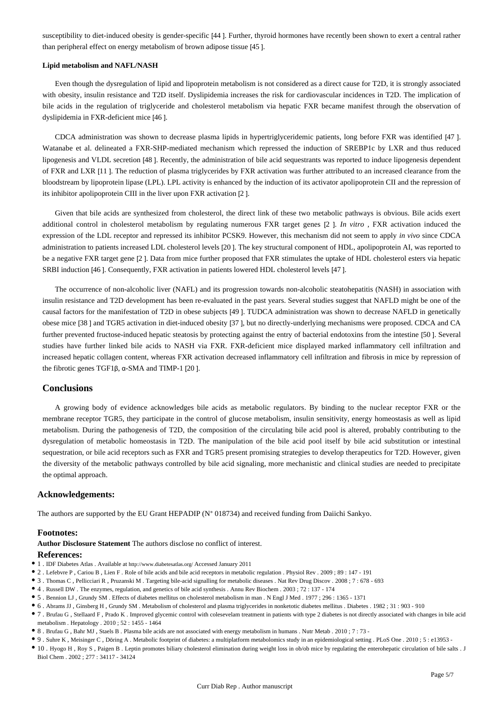susceptibility to diet-induced obesity is gender-specific [44 ]. Further, thyroid hormones have recently been shown to exert a central rather than peripheral effect on energy metabolism of brown adipose tissue [45 ].

#### **Lipid metabolism and NAFL/NASH**

Even though the dysregulation of lipid and lipoprotein metabolism is not considered as a direct cause for T2D, it is strongly associated with obesity, insulin resistance and T2D itself. Dyslipidemia increases the risk for cardiovascular incidences in T2D. The implication of bile acids in the regulation of triglyceride and cholesterol metabolism via hepatic FXR became manifest through the observation of dyslipidemia in FXR-deficient mice [46 ].

CDCA administration was shown to decrease plasma lipids in hypertriglyceridemic patients, long before FXR was identified [47 ]. Watanabe et al. delineated a FXR-SHP-mediated mechanism which repressed the induction of SREBP1c by LXR and thus reduced lipogenesis and VLDL secretion [48 ]. Recently, the administration of bile acid sequestrants was reported to induce lipogenesis dependent of FXR and LXR [11 ]. The reduction of plasma triglycerides by FXR activation was further attributed to an increased clearance from the bloodstream by lipoprotein lipase (LPL). LPL activity is enhanced by the induction of its activator apolipoprotein CII and the repression of its inhibitor apolipoprotein CIII in the liver upon FXR activation [2 ].

Given that bile acids are synthesized from cholesterol, the direct link of these two metabolic pathways is obvious. Bile acids exert additional control in cholesterol metabolism by regulating numerous FXR target genes [2 ]. *In vitro* , FXR activation induced the expression of the LDL receptor and repressed its inhibitor PCSK9. However, this mechanism did not seem to apply *in vivo* since CDCA administration to patients increased LDL cholesterol levels [20 ]. The key structural component of HDL, apolipoprotein AI, was reported to be a negative FXR target gene [2 ]. Data from mice further proposed that FXR stimulates the uptake of HDL cholesterol esters via hepatic SRBI induction [46 ]. Consequently, FXR activation in patients lowered HDL cholesterol levels [47 ].

The occurrence of non-alcoholic liver (NAFL) and its progression towards non-alcoholic steatohepatitis (NASH) in association with insulin resistance and T2D development has been re-evaluated in the past years. Several studies suggest that NAFLD might be one of the causal factors for the manifestation of T2D in obese subjects [49 ]. TUDCA administration was shown to decrease NAFLD in genetically obese mice [38 ] and TGR5 activation in diet-induced obesity [37 ], but no directly-underlying mechanisms were proposed. CDCA and CA further prevented fructose-induced hepatic steatosis by protecting against the entry of bacterial endotoxins from the intestine [50 ]. Several studies have further linked bile acids to NASH via FXR. FXR-deficient mice displayed marked inflammatory cell infiltration and increased hepatic collagen content, whereas FXR activation decreased inflammatory cell infiltration and fibrosis in mice by repression of the fibrotic genes TGF1β, α-SMA and TIMP-1 [20 ].

# **Conclusions**

A growing body of evidence acknowledges bile acids as metabolic regulators. By binding to the nuclear receptor FXR or the membrane receptor TGR5, they participate in the control of glucose metabolism, insulin sensitivity, energy homeostasis as well as lipid metabolism. During the pathogenesis of T2D, the composition of the circulating bile acid pool is altered, probably contributing to the dysregulation of metabolic homeostasis in T2D. The manipulation of the bile acid pool itself by bile acid substitution or intestinal sequestration, or bile acid receptors such as FXR and TGR5 present promising strategies to develop therapeutics for T2D. However, given the diversity of the metabolic pathways controlled by bile acid signaling, more mechanistic and clinical studies are needed to precipitate the optimal approach.

#### **Acknowledgements:**

The authors are supported by the EU Grant HEPADIP (N° 018734) and received funding from Daiichi Sankyo.

## **Footnotes:**

**Author Disclosure Statement** The authors disclose no conflict of interest.

## **References:**

- 1 . IDF Diabetes Atlas . Available at http://www.diabetesatlas.org/ Accessed January 2011
- 2 . Lefebvre P , Cariou B , Lien F . Role of bile acids and bile acid receptors in metabolic regulation . Physiol Rev . 2009 ; 89 : 147 191
- 3 . Thomas C , Pellicciari R , Pruzanski M . Targeting bile-acid signalling for metabolic diseases . Nat Rev Drug Discov . 2008 ; 7 : 678 693
- 4 . Russell DW . The enzymes, regulation, and genetics of bile acid synthesis . Annu Rev Biochem . 2003 ; 72 : 137 174
- 5 . Bennion LJ , Grundy SM . Effects of diabetes mellitus on cholesterol metabolism in man . N Engl J Med . 1977 ; 296 : 1365 1371
- 6 . Abrams JJ , Ginsberg H , Grundy SM . Metabolism of cholesterol and plasma triglycerides in nonketotic diabetes mellitus . Diabetes . 1982 ; 31 : 903 910
- 7 . Brufau G , Stellaard F , Prado K . Improved glycemic control with colesevelam treatment in patients with type 2 diabetes is not directly associated with changes in bile acid metabolism . Hepatology . 2010 ; 52 : 1455 - 1464
- 8 . Brufau G , Bahr MJ , Staels B . Plasma bile acids are not associated with energy metabolism in humans . Nutr Metab . 2010 ; 7 : 73 -
- 9 . Suhre K , Meisinger C , Döring A . Metabolic footprint of diabetes: a multiplatform metabolomics study in an epidemiological setting . PLoS One . 2010 ; 5 : e13953 -
- 10 . Hyogo H , Roy S , Paigen B . Leptin promotes biliary cholesterol elimination during weight loss in ob/ob mice by regulating the enterohepatic circulation of bile salts . J Biol Chem . 2002 ; 277 : 34117 - 34124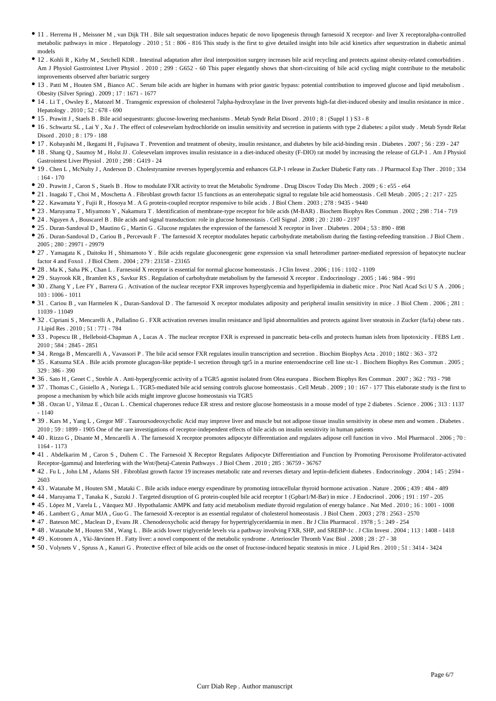- 11 . Herrema H , Meissner M , van Dijk TH . Bile salt sequestration induces hepatic de novo lipogenesis through farnesoid X receptor- and liver X receptoralpha-controlled metabolic pathways in mice . Hepatology . 2010 ; 51 : 806 - 816 This study is the first to give detailed insight into bile acid kinetics after sequestration in diabetic animal models
- 12 . Kohli R , Kirby M , Setchell KDR . Intestinal adaptation after ileal interposition surgery increases bile acid recycling and protects against obesity-related comorbidities . Am J Physiol Gastrointest Liver Physiol . 2010 ; 299 : G652 - 60 This paper elegantly shows that short-circuiting of bile acid cycling might contribute to the metabolic improvements observed after bariatric surgery
- 13 . Patti M , Houten SM , Bianco AC . Serum bile acids are higher in humans with prior gastric bypass: potential contribution to improved glucose and lipid metabolism . Obesity (Silver Spring) . 2009 ; 17 : 1671 - 1677
- 14 . Li T , Owsley E , Matozel M . Transgenic expression of cholesterol 7alpha-hydroxylase in the liver prevents high-fat diet-induced obesity and insulin resistance in mice . Hepatology . 2010 ; 52 : 678 - 690
- 15 . Prawitt J , Staels B . Bile acid sequestrants: glucose-lowering mechanisms . Metab Syndr Relat Disord . 2010 ; 8 : (Suppl 1 ) S3 8
- 16 . Schwartz SL , Lai Y , Xu J . The effect of colesevelam hydrochloride on insulin sensitivity and secretion in patients with type 2 diabetes: a pilot study . Metab Syndr Relat Disord . 2010 ; 8 : 179 - 188
- 17 . Kobayashi M , Ikegami H , Fujisawa T . Prevention and treatment of obesity, insulin resistance, and diabetes by bile acid-binding resin . Diabetes . 2007 ; 56 : 239 247
- 18 . Shang Q , Saumoy M , Holst JJ . Colesevelam improves insulin resistance in a diet-induced obesity (F-DIO) rat model by increasing the release of GLP-1 . Am J Physiol Gastrointest Liver Physiol . 2010 ; 298 : G419 - 24
- 19 . Chen L , McNulty J , Anderson D . Cholestyramine reverses hyperglycemia and enhances GLP-1 release in Zucker Diabetic Fatty rats . J Pharmacol Exp Ther . 2010 ; 334 : 164 - 170
- 20 . Prawitt J , Caron S , Staels B . How to modulate FXR activity to treat the Metabolic Syndrome . Drug Discov Today Dis Mech . 2009 ; 6 : e55 e64
- 21 . Inagaki T , Choi M , Moschetta A . Fibroblast growth factor 15 functions as an enterohepatic signal to regulate bile acid homeostasis . Cell Metab . 2005 ; 2 : 217 225
- 22 . Kawamata Y , Fujii R , Hosoya M . A G protein-coupled receptor responsive to bile acids . J Biol Chem . 2003 ; 278 : 9435 9440
- 23 . Maruyama T , Miyamoto Y , Nakamura T . Identification of membrane-type receptor for bile acids (M-BAR) . Biochem Biophys Res Commun . 2002 ; 298 : 714 719
- 24 . Nguyen A , Bouscarel B . Bile acids and signal transduction: role in glucose homeostasis . Cell Signal . 2008 ; 20 : 2180 2197
- 25 . Duran-Sandoval D , Mautino G , Martin G . Glucose regulates the expression of the farnesoid X receptor in liver . Diabetes . 2004 ; 53 : 890 898
- 26 . Duran-Sandoval D , Cariou B , Percevault F . The farnesoid X receptor modulates hepatic carbohydrate metabolism during the fasting-refeeding transition . J Biol Chem .  $2005 \cdot 280 \cdot 29971 - 29979$
- 27 . Yamagata K , Daitoku H , Shimamoto Y . Bile acids regulate gluconeogenic gene expression via small heterodimer partner-mediated repression of hepatocyte nuclear factor 4 and Foxo1 . J Biol Chem . 2004 ; 279 : 23158 - 23165
- 28 . Ma K , Saha PK , Chan L . Farnesoid X receptor is essential for normal glucose homeostasis . J Clin Invest . 2006 ; 116 : 1102 1109
- 29 . Stayrook KR , Bramlett KS , Savkur RS . Regulation of carbohydrate metabolism by the farnesoid X receptor . Endocrinology . 2005 ; 146 : 984 991
- 30 . Zhang Y , Lee FY , Barrera G . Activation of the nuclear receptor FXR improves hyperglycemia and hyperlipidemia in diabetic mice . Proc Natl Acad Sci U S A . 2006 ; 103 : 1006 - 1011
- 31 . Cariou B , van Harmelen K , Duran-Sandoval D . The farnesoid X receptor modulates adiposity and peripheral insulin sensitivity in mice . J Biol Chem . 2006 ; 281 : 11039 - 11049
- 32 . Cipriani S, Mencarelli A, Palladino G. FXR activation reverses insulin resistance and lipid abnormalities and protects against liver steatosis in Zucker (fa/fa) obese rats . J Lipid Res . 2010 ; 51 : 771 - 784
- 33 . Popescu IR , Helleboid-Chapman A , Lucas A . The nuclear receptor FXR is expressed in pancreatic beta-cells and protects human islets from lipotoxicity . FEBS Lett . 2010 ; 584 : 2845 - 2851
- 34 . Renga B , Mencarelli A , Vavassori P . The bile acid sensor FXR regulates insulin transcription and secretion . Biochim Biophys Acta . 2010 ; 1802 : 363 372
- 35 . Katsuma SEA . Bile acids promote glucagon-like peptide-1 secretion through tgr5 in a murine enteroendocrine cell line stc-1 . Biochem Biophys Res Commun . 2005 ; 329 : 386 - 390
- 36 . Sato H , Genet C , Strehle A . Anti-hyperglycemic activity of a TGR5 agonist isolated from Olea europaea . Biochem Biophys Res Commun . 2007 ; 362 : 793 798
- 37 . Thomas C , Gioiello A , Noriega L . TGR5-mediated bile acid sensing controls glucose homeostasis . Cell Metab . 2009 ; 10 : 167 177 This elaborate study is the first to propose a mechanism by which bile acids might improve glucose homeostasis via TGR5
- 38 . Ozcan U , Yilmaz E , Ozcan L . Chemical chaperones reduce ER stress and restore glucose homeostasis in a mouse model of type 2 diabetes . Science . 2006 ; 313 : 1137  $- 1140$
- 39 . Kars M , Yang L , Gregor MF . Tauroursodeoxycholic Acid may improve liver and muscle but not adipose tissue insulin sensitivity in obese men and women . Diabetes . 2010 ; 59 : 1899 - 1905 One of the rare investigations of receptor-independent effects of bile acids on insulin sensitivity in human patients
- 40 . Rizzo G , Disante M , Mencarelli A . The farnesoid X receptor promotes adipocyte differentiation and regulates adipose cell function in vivo . Mol Pharmacol . 2006 ; 70 : 1164 - 1173
- 41 . Abdelkarim M , Caron S , Duhem C . The Farnesoid X Receptor Regulates Adipocyte Differentiation and Function by Promoting Peroxisome Proliferator-activated Receptor-{gamma} and Interfering with the Wnt/{beta}-Catenin Pathways . J Biol Chem . 2010 ; 285 : 36759 - 36767
- 42 . Fu L , John LM , Adams SH . Fibroblast growth factor 19 increases metabolic rate and reverses dietary and leptin-deficient diabetes . Endocrinology . 2004 ; 145 : 2594 2603
- 43 . Watanabe M , Houten SM , Mataki C . Bile acids induce energy expenditure by promoting intracellular thyroid hormone activation . Nature . 2006 ; 439 : 484 489
- 44 . Maruyama T , Tanaka K , Suzuki J . Targeted disruption of G protein-coupled bile acid receptor 1 (Gpbar1/M-Bar) in mice . J Endocrinol . 2006 ; 191 : 197 205
- 45 . López M , Varela L , Vázquez MJ . Hypothalamic AMPK and fatty acid metabolism mediate thyroid regulation of energy balance . Nat Med . 2010 ; 16 : 1001 1008
- 46 . Lambert G , Amar MJA , Guo G . The farnesoid X-receptor is an essential regulator of cholesterol homeostasis . J Biol Chem . 2003 ; 278 : 2563 2570
- 47 . Bateson MC , Maclean D , Evans JR . Chenodeoxycholic acid therapy for hypertriglyceridaemia in men . Br J Clin Pharmacol . 1978 ; 5 : 249 254
- 48 . Watanabe M , Houten SM , Wang L . Bile acids lower triglyceride levels via a pathway involving FXR, SHP, and SREBP-1c . J Clin Invest . 2004 ; 113 : 1408 1418
- 49 . Kotronen A , Yki-Järvinen H . Fatty liver: a novel component of the metabolic syndrome . Arterioscler Thromb Vasc Biol . 2008 ; 28 : 27 38
- 50 . Volynets V , Spruss A , Kanuri G . Protective effect of bile acids on the onset of fructose-induced hepatic steatosis in mice . J Lipid Res . 2010 ; 51 : 3414 3424